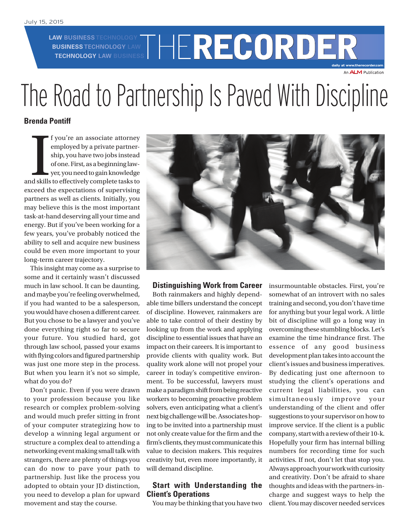**LAW BUSINESS TECHNOLOGY BUSINESS TECHNOLOGY LAW**

# W BUSINESS TECHNOLOGY **THE RECORDER daily at www.therecorder.com** An **ALM** Publication

# The Road to Partnership Is Paved With Discipline

## **Brenda Pontiff**

I f you're an associate attorney employed by a private partner-<br>ship, you have two jobs instead of one. First, as a beginning law-<br>yer, you need to gain knowledge<br>and skills to effectively complete tasks to f you're an associate attorney employed by a private partnership, you have two jobs instead of one. First, as a beginning lawyer, you need to gain knowledge exceed the expectations of supervising partners as well as clients. Initially, you may believe this is the most important task-at-hand deserving all your time and energy. But if you've been working for a few years, you've probably noticed the ability to sell and acquire new business could be even more important to your long-term career trajectory.

This insight may come as a surprise to some and it certainly wasn't discussed much in law school. It can be daunting, and maybe you're feeling overwhelmed, if you had wanted to be a salesperson, you would have chosen a different career. But you chose to be a lawyer and you've done everything right so far to secure your future. You studied hard, got through law school, passed your exams with flying colors and figured partnership was just one more step in the process. But when you learn it's not so simple, what do you do?

Don't panic. Even if you were drawn to your profession because you like research or complex problem-solving and would much prefer sitting in front of your computer strategizing how to develop a winning legal argument or structure a complex deal to attending a networking event making small talk with strangers, there are plenty of things you can do now to pave your path to partnership. Just like the process you adopted to obtain your JD distinction, you need to develop a plan for upward movement and stay the course.



#### **Distinguishing Work from Career**

Both rainmakers and highly dependable time billers understand the concept of discipline. However, rainmakers are able to take control of their destiny by looking up from the work and applying discipline to essential issues that have an impact on their careers. It is important to provide clients with quality work. But quality work alone will not propel your career in today's competitive environment. To be successful, lawyers must make a paradigm shift from being reactive workers to becoming proactive problem solvers, even anticipating what a client's next big challenge will be. Associates hoping to be invited into a partnership must not only create value for the firm and the firm's clients, they must communicate this value to decision makers. This requires creativity but, even more importantly, it will demand discipline.

#### **Start with Understanding the Client's Operations**

You may be thinking that you have two

insurmountable obstacles. First, you're somewhat of an introvert with no sales training and second, you don't have time for anything but your legal work. A little bit of discipline will go a long way in overcoming these stumbling blocks. Let's examine the time hindrance first. The essence of any good business development plan takes into account the client's issues and business imperatives. By dedicating just one afternoon to studying the client's operations and current legal liabilities, you can simultane ously improve your understanding of the client and offer suggestions to your supervisor on how to improve service. If the client is a public company, start with a review of their 10-k. Hopefully your firm has internal billing numbers for recording time for such activities. If not, don't let that stop you. Always approach your work with curiosity and creativity. Don't be afraid to share thoughts and ideas with the partners-incharge and suggest ways to help the client. You may discover needed services